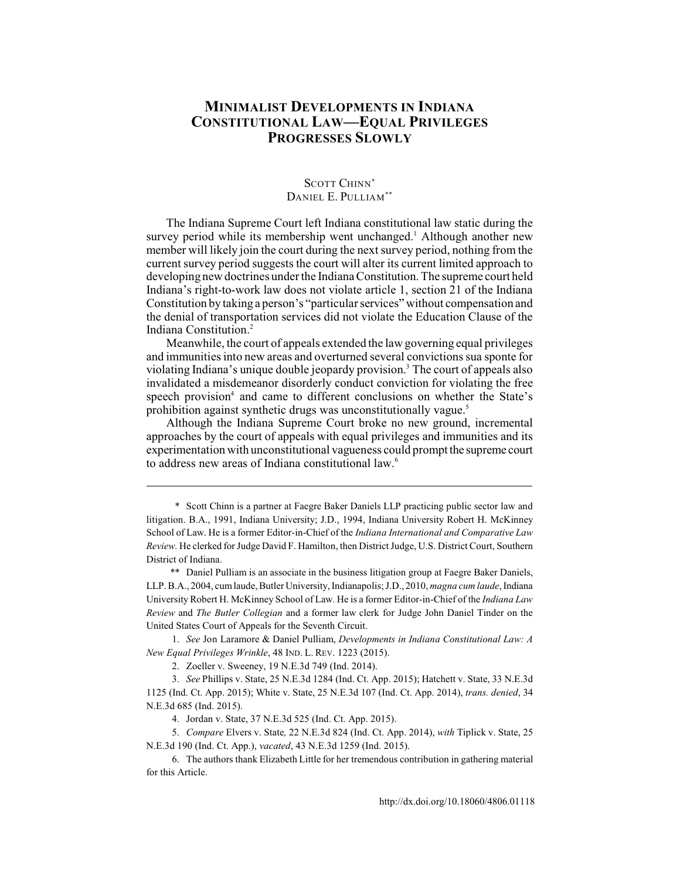# **MINIMALIST DEVELOPMENTS IN INDIANA CONSTITUTIONAL LAW—EQUAL PRIVILEGES PROGRESSES SLOWLY**

## SCOTT CHINN<sup>\*</sup> DANIEL E. PULLIAM\*\*

The Indiana Supreme Court left Indiana constitutional law static during the survey period while its membership went unchanged.<sup>1</sup> Although another new member will likely join the court during the next survey period, nothing from the current survey period suggests the court will alter its current limited approach to developing new doctrines under the Indiana Constitution. The supreme court held Indiana's right-to-work law does not violate article 1, section 21 of the Indiana Constitution by taking a person's "particular services" without compensation and the denial of transportation services did not violate the Education Clause of the Indiana Constitution. <sup>2</sup>

Meanwhile, the court of appeals extended the law governing equal privileges and immunities into new areas and overturned several convictions sua sponte for violating Indiana's unique double jeopardy provision.<sup>3</sup> The court of appeals also invalidated a misdemeanor disorderly conduct conviction for violating the free speech provision<sup>4</sup> and came to different conclusions on whether the State's prohibition against synthetic drugs was unconstitutionally vague.<sup>5</sup>

Although the Indiana Supreme Court broke no new ground, incremental approaches by the court of appeals with equal privileges and immunities and its experimentation with unconstitutional vagueness could prompt the supreme court to address new areas of Indiana constitutional law.<sup>6</sup>

\*\* Daniel Pulliam is an associate in the business litigation group at Faegre Baker Daniels, LLP. B.A., 2004, cum laude, Butler University, Indianapolis; J.D., 2010, *magna cum laude*, Indiana University Robert H. McKinney School of Law. He is a former Editor-in-Chief of the *Indiana Law Review* and *The Butler Collegian* and a former law clerk for Judge John Daniel Tinder on the United States Court of Appeals for the Seventh Circuit.

1. *See* Jon Laramore & Daniel Pulliam, *Developments in Indiana Constitutional Law: A New Equal Privileges Wrinkle*, 48 IND. L. REV[. 1223 \(2015\).](http://dx.doi.org/10.18060/4806.0040)

2. Zoeller v. Sweeney, 19 N.E.3d 749 (Ind. 2014).

3. *See* Phillips v. State, 25 N.E.3d 1284 (Ind. Ct. App. 2015); Hatchett v. State, 33 N.E.3d 1125 (Ind. Ct. App. 2015); White v. State, 25 N.E.3d 107 (Ind. Ct. App. 2014), *trans. denied*, 34 N.E.3d 685 (Ind. 2015).

4. Jordan v. State, 37 N.E.3d 525 (Ind. Ct. App. 2015).

5. *Compare* Elvers v. State*,* 22 N.E.3d 824 (Ind. Ct. App. 2014), *with* Tiplick v. State, 25 N.E.3d 190 (Ind. Ct. App.), *vacated*, 43 N.E.3d 1259 (Ind. 2015).

<sup>\*</sup> Scott Chinn is a partner at Faegre Baker Daniels LLP practicing public sector law and litigation. B.A., 1991, Indiana University; J.D., 1994, Indiana University Robert H. McKinney School of Law. He is a former Editor-in-Chief of the *Indiana International and Comparative Law Review.* He clerked for Judge David F. Hamilton, then District Judge, U.S. District Court, Southern District of Indiana.

<sup>6.</sup> The authors thank Elizabeth Little for her tremendous contribution in gathering material for this Article.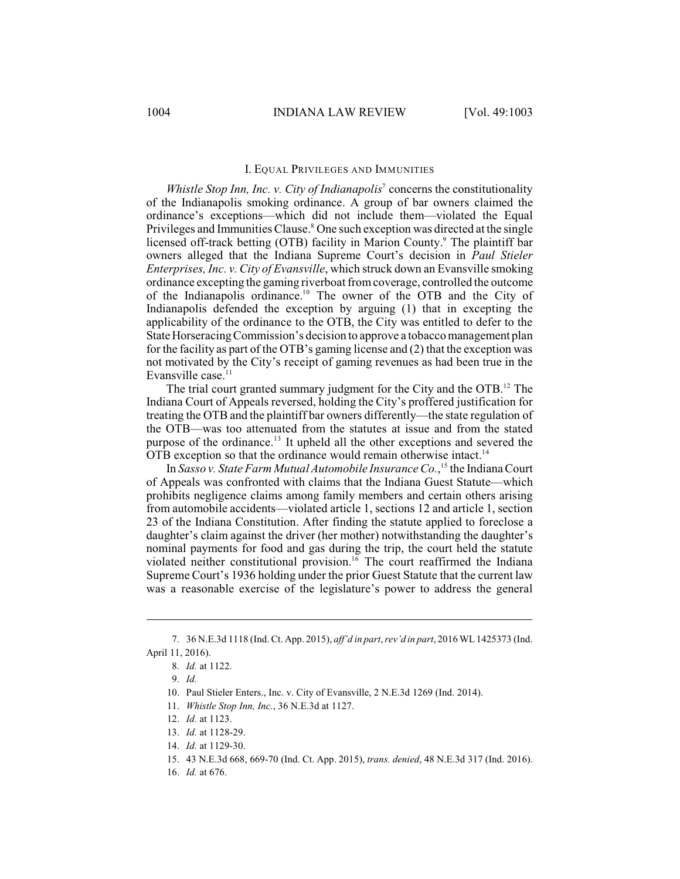#### I. EQUAL PRIVILEGES AND IMMUNITIES

*Whistle Stop Inn, Inc. v. City of Indianapolis<sup>7</sup>* concerns the constitutionality of the Indianapolis smoking ordinance. A group of bar owners claimed the ordinance's exceptions—which did not include them—violated the Equal Privileges and Immunities Clause.<sup>8</sup> One such exception was directed at the single licensed off-track betting (OTB) facility in Marion County.<sup>9</sup> The plaintiff bar owners alleged that the Indiana Supreme Court's decision in *Paul Stieler Enterprises, Inc. v. City of Evansville*, which struck down an Evansville smoking ordinance excepting the gaming riverboat fromcoverage, controlled the outcome of the Indianapolis ordinance.<sup>10</sup> The owner of the OTB and the City of Indianapolis defended the exception by arguing (1) that in excepting the applicability of the ordinance to the OTB, the City was entitled to defer to the State Horseracing Commission's decision to approve a tobacco management plan for the facility as part of the OTB's gaming license and (2) that the exception was not motivated by the City's receipt of gaming revenues as had been true in the Evansville case.<sup>11</sup>

The trial court granted summary judgment for the City and the  $OTB$ <sup>12</sup>. The Indiana Court of Appeals reversed, holding the City's proffered justification for treating the OTB and the plaintiff bar owners differently—the state regulation of the OTB—was too attenuated from the statutes at issue and from the stated purpose of the ordinance.<sup>13</sup> It upheld all the other exceptions and severed the OTB exception so that the ordinance would remain otherwise intact.<sup>14</sup>

In *Sasso v. State Farm Mutual Automobile Insurance Co.*,<sup>15</sup> the Indiana Court of Appeals was confronted with claims that the Indiana Guest Statute—which prohibits negligence claims among family members and certain others arising from automobile accidents—violated article 1, sections 12 and article 1, section 23 of the Indiana Constitution. After finding the statute applied to foreclose a daughter's claim against the driver (her mother) notwithstanding the daughter's nominal payments for food and gas during the trip, the court held the statute violated neither constitutional provision.<sup>16</sup> The court reaffirmed the Indiana Supreme Court's 1936 holding under the prior Guest Statute that the current law was a reasonable exercise of the legislature's power to address the general

<sup>7.</sup> 36 N.E.3d 1118 (Ind. Ct. App. 2015), *aff'd in part*, *rev'd in part*, 2016 WL1425373 (Ind. April 11, 2016).

<sup>8.</sup> *Id.* at 1122.

<sup>9.</sup> *Id.*

<sup>10.</sup> Paul Stieler Enters., Inc. v. City of Evansville, 2 N.E.3d 1269 (Ind. 2014).

<sup>11.</sup> *Whistle Stop Inn, Inc.*, 36 N.E.3d at 1127.

<sup>12.</sup> *Id.* at 1123.

<sup>13.</sup> *Id.* at 1128-29.

<sup>14.</sup> *Id.* at 1129-30.

<sup>15.</sup> 43 N.E.3d 668, 669-70 (Ind. Ct. App. 2015), *trans. denied*, 48 N.E.3d 317 (Ind. 2016).

<sup>16.</sup> *Id.* at 676.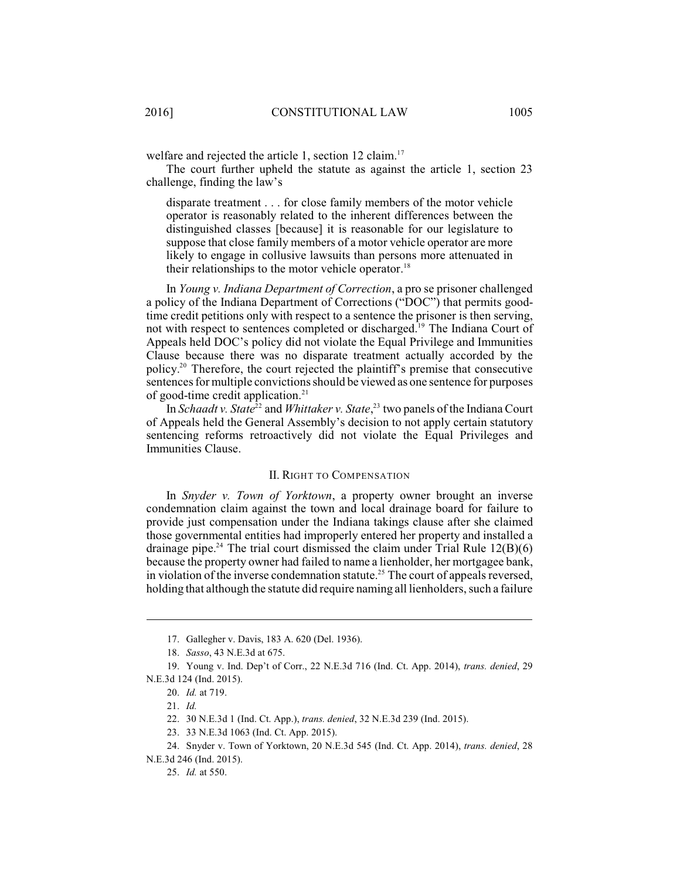welfare and rejected the article 1, section 12 claim.<sup>17</sup>

The court further upheld the statute as against the article 1, section 23 challenge, finding the law's

disparate treatment . . . for close family members of the motor vehicle operator is reasonably related to the inherent differences between the distinguished classes [because] it is reasonable for our legislature to suppose that close family members of a motor vehicle operator are more likely to engage in collusive lawsuits than persons more attenuated in their relationships to the motor vehicle operator.<sup>18</sup>

In *Young v. Indiana Department of Correction*, a pro se prisoner challenged a policy of the Indiana Department of Corrections ("DOC") that permits goodtime credit petitions only with respect to a sentence the prisoner is then serving, not with respect to sentences completed or discharged.<sup>19</sup> The Indiana Court of Appeals held DOC's policy did not violate the Equal Privilege and Immunities Clause because there was no disparate treatment actually accorded by the policy.<sup>20</sup> Therefore, the court rejected the plaintiff's premise that consecutive sentences for multiple convictionsshould be viewed as one sentence for purposes of good-time credit application.<sup>21</sup>

In *Schaadt v. State<sup>22</sup>* and *Whittaker v. State*,<sup>23</sup> two panels of the Indiana Court of Appeals held the General Assembly's decision to not apply certain statutory sentencing reforms retroactively did not violate the Equal Privileges and Immunities Clause.

#### II. RIGHT TO COMPENSATION

In *Snyder v. Town of Yorktown*, a property owner brought an inverse condemnation claim against the town and local drainage board for failure to provide just compensation under the Indiana takings clause after she claimed those governmental entities had improperly entered her property and installed a drainage pipe.<sup>24</sup> The trial court dismissed the claim under Trial Rule  $12(B)(6)$ because the property owner had failed to name a lienholder, her mortgagee bank, in violation of the inverse condemnation statute.<sup>25</sup> The court of appeals reversed, holding that although the statute did require naming all lienholders, such a failure

<sup>17.</sup> Gallegher v. Davis, 183 A. 620 (Del. 1936).

<sup>18.</sup> *Sasso*, 43 N.E.3d at 675.

<sup>19.</sup> Young v. Ind. Dep't of Corr., 22 N.E.3d 716 (Ind. Ct. App. 2014), *trans. denied*, 29 N.E.3d 124 (Ind. 2015).

<sup>20.</sup> *Id.* at 719.

<sup>21.</sup> *Id.*

<sup>22.</sup> 30 N.E.3d 1 (Ind. Ct. App.), *trans. denied*, 32 N.E.3d 239 (Ind. 2015).

<sup>23.</sup> 33 N.E.3d 1063 (Ind. Ct. App. 2015).

<sup>24.</sup> Snyder v. Town of Yorktown, 20 N.E.3d 545 (Ind. Ct. App. 2014), *trans. denied*, 28 N.E.3d 246 (Ind. 2015).

<sup>25.</sup> *Id.* at 550.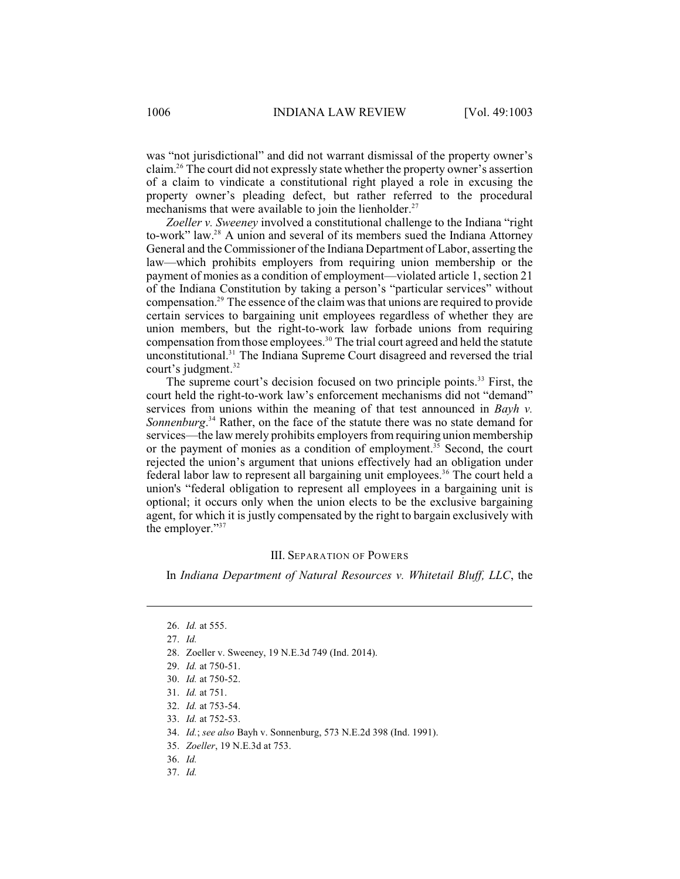was "not jurisdictional" and did not warrant dismissal of the property owner's claim.<sup>26</sup> The court did not expressly state whether the property owner's assertion of a claim to vindicate a constitutional right played a role in excusing the property owner's pleading defect, but rather referred to the procedural mechanisms that were available to join the lienholder.<sup>27</sup>

*Zoeller v. Sweeney* involved a constitutional challenge to the Indiana "right to-work" law.<sup>28</sup> A union and several of its members sued the Indiana Attorney General and the Commissioner of the Indiana Department of Labor, asserting the law—which prohibits employers from requiring union membership or the payment of monies as a condition of employment—violated article 1, section 21 of the Indiana Constitution by taking a person's "particular services" without compensation.<sup>29</sup> The essence of the claim was that unions are required to provide certain services to bargaining unit employees regardless of whether they are union members, but the right-to-work law forbade unions from requiring compensation from those employees.<sup>30</sup> The trial court agreed and held the statute unconstitutional.<sup>31</sup> The Indiana Supreme Court disagreed and reversed the trial court's judgment. 32

The supreme court's decision focused on two principle points.<sup>33</sup> First, the court held the right-to-work law's enforcement mechanisms did not "demand" services from unions within the meaning of that test announced in *Bayh v. Sonnenburg*.<sup>34</sup> Rather, on the face of the statute there was no state demand for services—the law merely prohibits employers fromrequiring union membership or the payment of monies as a condition of employment.<sup>35</sup> Second, the court rejected the union's argument that unions effectively had an obligation under federal labor law to represent all bargaining unit employees.<sup>36</sup> The court held a union's "federal obligation to represent all employees in a bargaining unit is optional; it occurs only when the union elects to be the exclusive bargaining agent, for which it is justly compensated by the right to bargain exclusively with the employer."<sup>37</sup>

## III. SEPARATION OF POWERS

In *Indiana Department of Natural Resources v. Whitetail Bluff, LLC*, the

37. *Id.* 

<sup>26.</sup> *Id.* at 555.

<sup>27.</sup> *Id.*

<sup>28.</sup> Zoeller v. Sweeney, 19 N.E.3d 749 (Ind. 2014).

<sup>29.</sup> *Id.* at 750-51.

<sup>30.</sup> *Id.* at 750-52.

<sup>31.</sup> *Id.* at 751.

<sup>32.</sup> *Id.* at 753-54.

<sup>33.</sup> *Id.* at 752-53.

<sup>34.</sup> *Id.*; *see also* Bayh v. Sonnenburg, 573 N.E.2d 398 (Ind. 1991).

<sup>35.</sup> *Zoeller*, 19 N.E.3d at 753.

<sup>36.</sup> *Id.*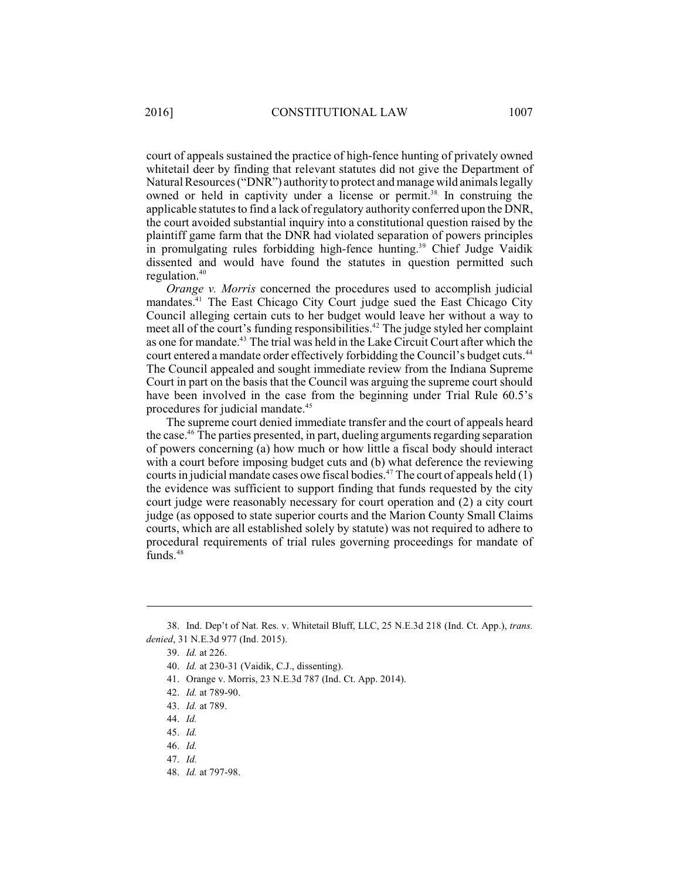court of appeals sustained the practice of high-fence hunting of privately owned whitetail deer by finding that relevant statutes did not give the Department of Natural Resources ("DNR") authority to protect and manage wild animals legally owned or held in captivity under a license or permit.<sup>38</sup> In construing the applicable statutes to find a lack of regulatory authority conferred upon the DNR, the court avoided substantial inquiry into a constitutional question raised by the plaintiff game farm that the DNR had violated separation of powers principles in promulgating rules forbidding high-fence hunting.<sup>39</sup> Chief Judge Vaidik dissented and would have found the statutes in question permitted such regulation. 40

*Orange v. Morris* concerned the procedures used to accomplish judicial mandates.<sup>41</sup> The East Chicago City Court judge sued the East Chicago City Council alleging certain cuts to her budget would leave her without a way to meet all of the court's funding responsibilities.<sup> $42$ </sup> The judge styled her complaint as one for mandate.<sup>43</sup> The trial was held in the Lake Circuit Court after which the court entered a mandate order effectively forbidding the Council's budget cuts.<sup>44</sup> The Council appealed and sought immediate review from the Indiana Supreme Court in part on the basis that the Council was arguing the supreme court should have been involved in the case from the beginning under Trial Rule 60.5's procedures for judicial mandate.<sup>45</sup>

The supreme court denied immediate transfer and the court of appeals heard the case.<sup> $46$ </sup> The parties presented, in part, dueling arguments regarding separation of powers concerning (a) how much or how little a fiscal body should interact with a court before imposing budget cuts and (b) what deference the reviewing courts in judicial mandate cases owe fiscal bodies.<sup>47</sup> The court of appeals held  $(1)$ the evidence was sufficient to support finding that funds requested by the city court judge were reasonably necessary for court operation and (2) a city court judge (as opposed to state superior courts and the Marion County Small Claims courts, which are all established solely by statute) was not required to adhere to procedural requirements of trial rules governing proceedings for mandate of funds.<sup>48</sup>

<sup>38.</sup> Ind. Dep't of Nat. Res. v. Whitetail Bluff, LLC, 25 N.E.3d 218 (Ind. Ct. App.), *trans. denied*, 31 N.E.3d 977 (Ind. 2015).

<sup>39.</sup> *Id.* at 226.

<sup>40.</sup> *Id.* at 230-31 (Vaidik, C.J., dissenting).

<sup>41.</sup> Orange v. Morris, 23 N.E.3d 787 (Ind. Ct. App. 2014).

<sup>42.</sup> *Id.* at 789-90.

<sup>43.</sup> *Id.* at 789.

<sup>44.</sup> *Id.*

<sup>45.</sup> *Id.*

<sup>46.</sup> *Id.*

<sup>47.</sup> *Id.*

<sup>48.</sup> *Id.* at 797-98.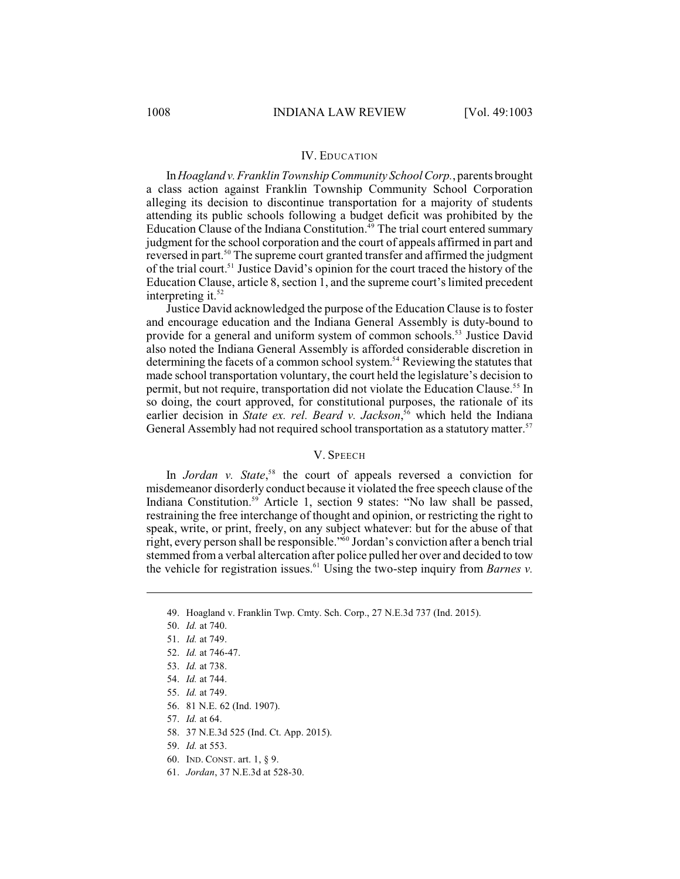#### IV. EDUCATION

In *Hoagland v.Franklin TownshipCommunity SchoolCorp.*, parents brought a class action against Franklin Township Community School Corporation alleging its decision to discontinue transportation for a majority of students attending its public schools following a budget deficit was prohibited by the Education Clause of the Indiana Constitution.<sup>49</sup> The trial court entered summary judgment for the school corporation and the court of appeals affirmed in part and reversed in part.<sup>50</sup> The supreme court granted transfer and affirmed the judgment of the trial court.<sup>51</sup> Justice David's opinion for the court traced the history of the Education Clause, article 8, section 1, and the supreme court's limited precedent interpreting it. $52$ 

Justice David acknowledged the purpose of the Education Clause is to foster and encourage education and the Indiana General Assembly is duty-bound to provide for a general and uniform system of common schools.<sup>53</sup> Justice David also noted the Indiana General Assembly is afforded considerable discretion in determining the facets of a common school system.<sup>54</sup> Reviewing the statutes that made school transportation voluntary, the court held the legislature's decision to permit, but not require, transportation did not violate the Education Clause.<sup>55</sup> In so doing, the court approved, for constitutional purposes, the rationale of its earlier decision in *State ex. rel. Beard v. Jackson*,<sup>56</sup> which held the Indiana General Assembly had not required school transportation as a statutory matter.<sup>57</sup>

#### V. SPEECH

In *Jordan v. State*,<sup>58</sup> the court of appeals reversed a conviction for misdemeanor disorderly conduct because it violated the free speech clause of the Indiana Constitution.<sup>59</sup> Article 1, section 9 states: "No law shall be passed, restraining the free interchange of thought and opinion, or restricting the right to speak, write, or print, freely, on any subject whatever: but for the abuse of that right, every person shall be responsible."<sup>60</sup> Jordan's conviction after a bench trial stemmed froma verbal altercation after police pulled her over and decided to tow the vehicle for registration issues.<sup>61</sup> Using the two-step inquiry from *Barnes v*.

<sup>49.</sup> Hoagland v. Franklin Twp. Cmty. Sch. Corp., 27 N.E.3d 737 (Ind. 2015).

<sup>50.</sup> *Id.* at 740.

<sup>51.</sup> *Id.* at 749.

<sup>52.</sup> *Id.* at 746-47.

<sup>53.</sup> *Id.* at 738.

<sup>54.</sup> *Id.* at 744.

<sup>55.</sup> *Id.* at 749.

<sup>56.</sup> 81 N.E. 62 (Ind. 1907).

<sup>57.</sup> *Id.* at 64.

<sup>58.</sup> 37 N.E.3d 525 (Ind. Ct. App. 2015).

<sup>59.</sup> *Id.* at 553.

<sup>60.</sup> IND. CONST. art. 1, § 9.

<sup>61.</sup> *Jordan*, 37 N.E.3d at 528-30.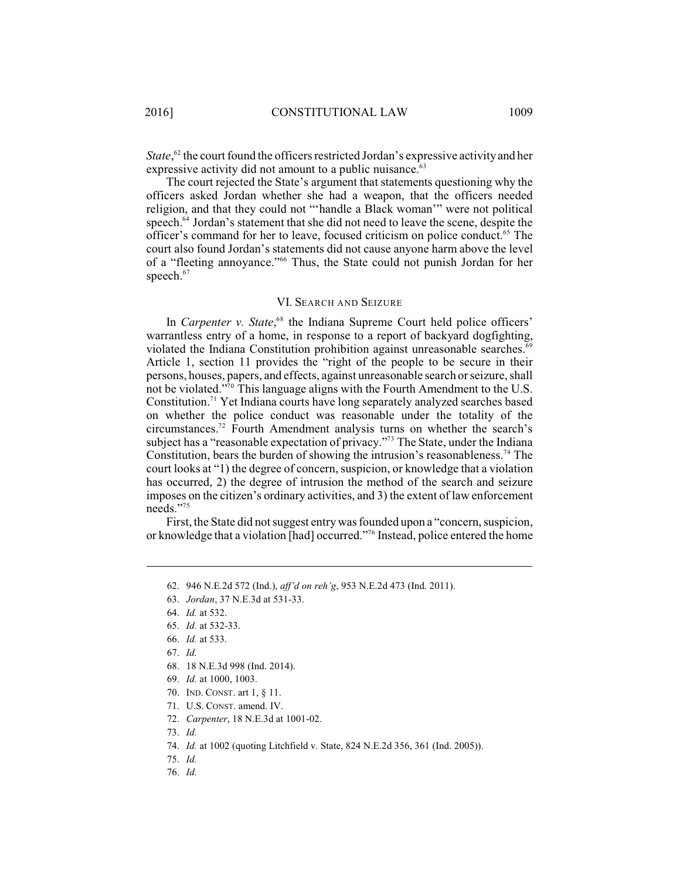*State*,<sup>62</sup> the court found the officers restricted Jordan's expressive activity and her expressive activity did not amount to a public nuisance. $63$ 

The court rejected the State's argument that statements questioning why the officers asked Jordan whether she had a weapon, that the officers needed religion, and that they could not "'handle a Black woman'" were not political speech. $64$  Jordan's statement that she did not need to leave the scene, despite the officer's command for her to leave, focused criticism on police conduct.<sup>65</sup> The court also found Jordan's statements did not cause anyone harm above the level of a "fleeting annoyance."<sup>66</sup> Thus, the State could not punish Jordan for her speech. 67

#### VI. SEARCH AND SEIZURE

In *Carpenter v. State*,<sup>68</sup> the Indiana Supreme Court held police officers' warrantless entry of a home, in response to a report of backyard dogfighting, violated the Indiana Constitution prohibition against unreasonable searches.<sup>69</sup> Article 1, section 11 provides the "right of the people to be secure in their persons, houses, papers, and effects, against unreasonable search or seizure, shall not be violated."<sup>70</sup> This language aligns with the Fourth Amendment to the U.S. Constitution.<sup>71</sup> Yet Indiana courts have long separately analyzed searches based on whether the police conduct was reasonable under the totality of the circumstances.<sup>72</sup> Fourth Amendment analysis turns on whether the search's subject has a "reasonable expectation of privacy."<sup> $\frac{3}{12}$ </sup> The State, under the Indiana Constitution, bears the burden of showing the intrusion's reasonableness.<sup>74</sup> The court looks at "1) the degree of concern, suspicion, or knowledge that a violation has occurred, 2) the degree of intrusion the method of the search and seizure imposes on the citizen's ordinary activities, and 3) the extent of law enforcement needs."75

First, the State did not suggest entry was founded upon a "concern, suspicion, or knowledge that a violation [had] occurred."<sup>76</sup> Instead, police entered the home

- 68. 18 N.E.3d 998 (Ind. 2014).
- 69. *Id.* at 1000, 1003.
- 70. IND. CONST. art 1, § 11.
- 71. U.S. CONST. amend. IV.
- 72. *Carpenter*, 18 N.E.3d at 1001-02.
- 73. *Id.*

75. *Id.*

76. *Id.*

<sup>62.</sup> 946 N.E.2d 572 (Ind.), *aff'd on reh'g*, 953 N.E.2d 473 (Ind. 2011).

<sup>63.</sup> *Jordan*, 37 N.E.3d at 531-33.

<sup>64.</sup> *Id.* at 532.

<sup>65.</sup> *Id.* at 532-33.

<sup>66.</sup> *Id.* at 533.

<sup>67.</sup> *Id.*

<sup>74.</sup> *Id.* at 1002 (quoting Litchfield v. State, 824 N.E.2d 356, 361 (Ind. 2005)).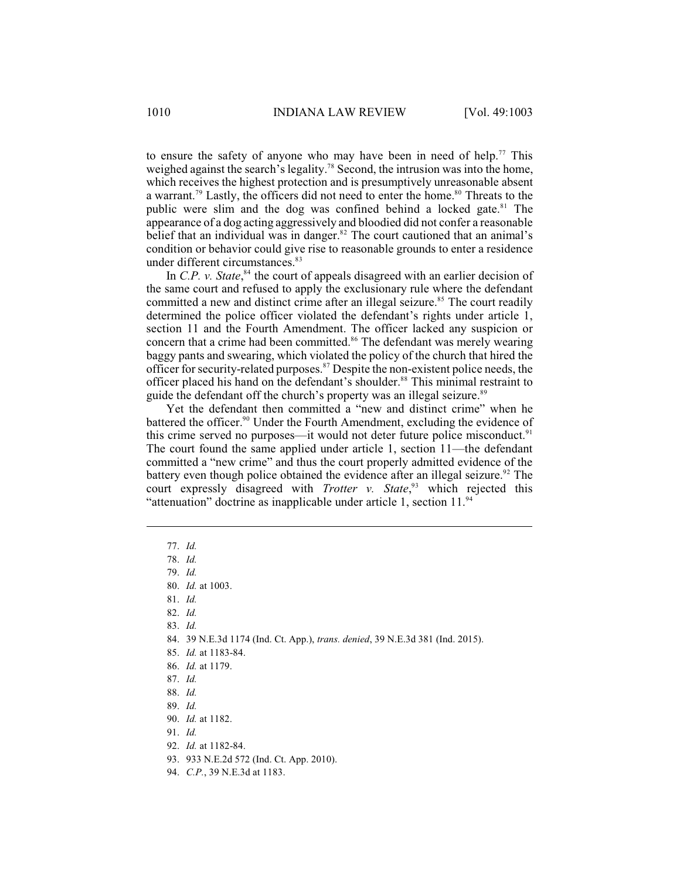to ensure the safety of anyone who may have been in need of help.<sup>77</sup> This weighed against the search's legality.<sup>78</sup> Second, the intrusion was into the home, which receives the highest protection and is presumptively unreasonable absent a warrant.<sup>79</sup> Lastly, the officers did not need to enter the home.<sup>80</sup> Threats to the public were slim and the dog was confined behind a locked gate.<sup>81</sup> The appearance of a dog acting aggressively and bloodied did not confer a reasonable belief that an individual was in danger. $82$  The court cautioned that an animal's condition or behavior could give rise to reasonable grounds to enter a residence under different circumstances.<sup>83</sup>

In  $C.P. v. State<sup>84</sup>$ , the court of appeals disagreed with an earlier decision of the same court and refused to apply the exclusionary rule where the defendant committed a new and distinct crime after an illegal seizure.<sup>85</sup> The court readily determined the police officer violated the defendant's rights under article 1, section 11 and the Fourth Amendment. The officer lacked any suspicion or concern that a crime had been committed.<sup>86</sup> The defendant was merely wearing baggy pants and swearing, which violated the policy of the church that hired the officer for security-related purposes.<sup>87</sup> Despite the non-existent police needs, the officer placed his hand on the defendant's shoulder.<sup>88</sup> This minimal restraint to guide the defendant off the church's property was an illegal seizure.<sup>89</sup>

Yet the defendant then committed a "new and distinct crime" when he battered the officer.<sup>90</sup> Under the Fourth Amendment, excluding the evidence of this crime served no purposes—it would not deter future police misconduct.<sup>91</sup> The court found the same applied under article 1, section 11—the defendant committed a "new crime" and thus the court properly admitted evidence of the battery even though police obtained the evidence after an illegal seizure.<sup>92</sup> The court expressly disagreed with *Trotter v. State*,<sup>93</sup> which rejected this "attenuation" doctrine as inapplicable under article 1, section  $11.^{94}$ 

- 84. 39 N.E.3d 1174 (Ind. Ct. App.), *trans. denied*, 39 N.E.3d 381 (Ind. 2015).
- 85. *Id.* at 1183-84.
- 86. *Id.* at 1179.
- 87. *Id.*
- 88. *Id.*
- 89. *Id.*
- 90. *Id.* at 1182.
- 91. *Id.*
- 92. *Id.* at 1182-84.
- 93. 933 N.E.2d 572 (Ind. Ct. App. 2010).
- 94. *C.P.*, 39 N.E.3d at 1183.

<sup>77.</sup> *Id.*

<sup>78.</sup> *Id.*

<sup>79.</sup> *Id.*

<sup>80.</sup> *Id.* at 1003.

<sup>81.</sup> *Id.*

<sup>82.</sup> *Id.*

<sup>83.</sup> *Id.*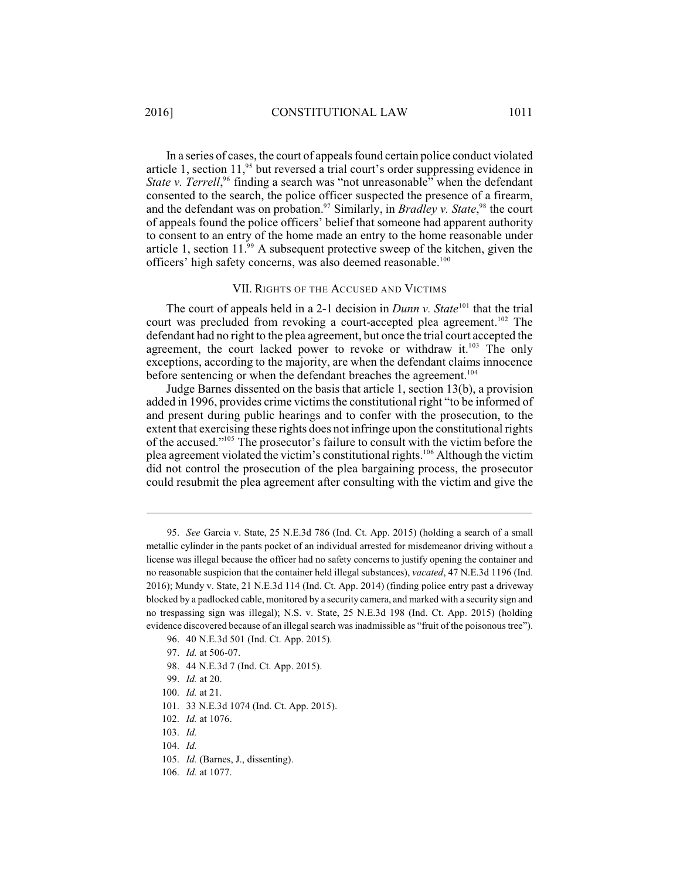In a series of cases, the court of appeals found certain police conduct violated article 1, section 11,<sup>95</sup> but reversed a trial court's order suppressing evidence in *State v. Terrell*,<sup>96</sup> finding a search was "not unreasonable" when the defendant consented to the search, the police officer suspected the presence of a firearm, and the defendant was on probation.<sup>97</sup> Similarly, in *Bradley v. State*,<sup>98</sup> the court of appeals found the police officers' belief that someone had apparent authority to consent to an entry of the home made an entry to the home reasonable under article 1, section  $11.^{99}$  A subsequent protective sweep of the kitchen, given the officers' high safety concerns, was also deemed reasonable.<sup>100</sup>

## VII. RIGHTS OF THE ACCUSED AND VICTIMS

The court of appeals held in a 2-1 decision in *Dunn v. State*<sup>101</sup> that the trial court was precluded from revoking a court-accepted plea agreement.<sup>102</sup> The defendant had no right to the plea agreement, but once the trial court accepted the agreement, the court lacked power to revoke or withdraw it.<sup>103</sup> The only exceptions, according to the majority, are when the defendant claims innocence before sentencing or when the defendant breaches the agreement.<sup>104</sup>

Judge Barnes dissented on the basis that article 1, section 13(b), a provision added in 1996, provides crime victims the constitutional right "to be informed of and present during public hearings and to confer with the prosecution, to the extent that exercising these rights does not infringe upon the constitutional rights of the accused."<sup>105</sup> The prosecutor's failure to consult with the victim before the plea agreement violated the victim's constitutional rights.<sup>106</sup> Although the victim did not control the prosecution of the plea bargaining process, the prosecutor could resubmit the plea agreement after consulting with the victim and give the

- 96. 40 N.E.3d 501 (Ind. Ct. App. 2015).
- 97. *Id.* at 506-07.
- 98. 44 N.E.3d 7 (Ind. Ct. App. 2015).
- 99. *Id.* at 20.
- 100. *Id.* at 21.
- 101. 33 N.E.3d 1074 (Ind. Ct. App. 2015).
- 102. *Id.* at 1076.
- 103. *Id.*
- 104. *Id.*
- 105. *Id.* (Barnes, J., dissenting).
- 106. *Id.* at 1077.

<sup>95.</sup> *See* Garcia v. State, 25 N.E.3d 786 (Ind. Ct. App. 2015) (holding a search of a small metallic cylinder in the pants pocket of an individual arrested for misdemeanor driving without a license was illegal because the officer had no safety concerns to justify opening the container and no reasonable suspicion that the container held illegal substances), *vacated*, 47 N.E.3d 1196 (Ind. 2016); Mundy v. State, 21 N.E.3d 114 (Ind. Ct. App. 2014) (finding police entry past a driveway blocked by a padlocked cable, monitored by a security camera, and marked with a security sign and no trespassing sign was illegal); N.S. v. State, 25 N.E.3d 198 (Ind. Ct. App. 2015) (holding evidence discovered because of an illegal search was inadmissible as "fruit of the poisonous tree").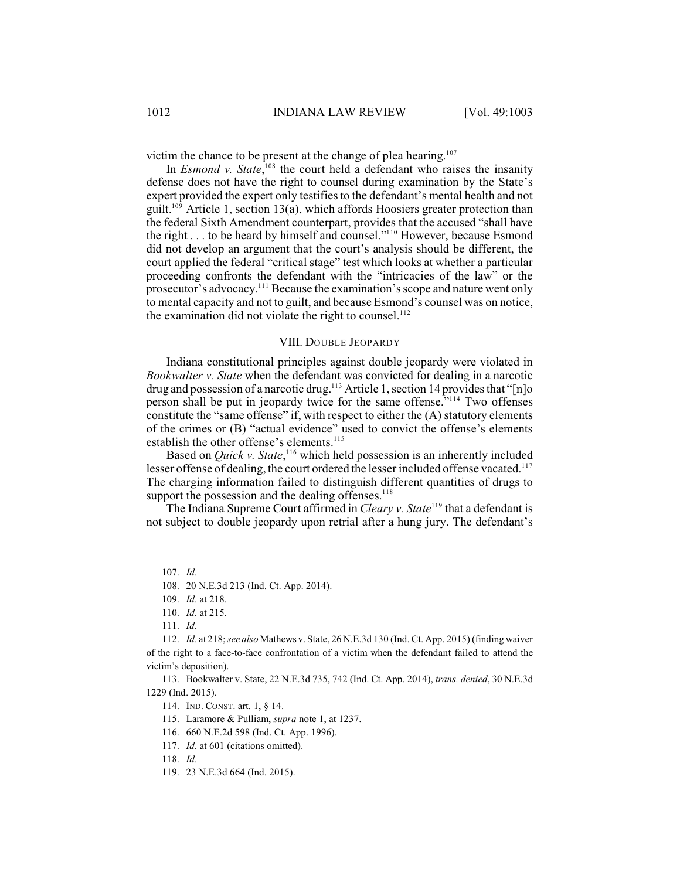victim the chance to be present at the change of plea hearing. $107$ 

In *Esmond v. State*,  $\frac{108}{108}$  the court held a defendant who raises the insanity defense does not have the right to counsel during examination by the State's expert provided the expert only testifies to the defendant's mental health and not guilt.<sup>109</sup> Article 1, section 13(a), which affords Hoosiers greater protection than the federal Sixth Amendment counterpart, provides that the accused "shall have the right  $\dots$  to be heard by himself and counsel."<sup>110</sup> However, because Esmond did not develop an argument that the court's analysis should be different, the court applied the federal "critical stage" test which looks at whether a particular proceeding confronts the defendant with the "intricacies of the law" or the prosecutor's advocacy.<sup>111</sup> Because the examination's scope and nature went only to mental capacity and not to guilt, and because Esmond's counsel was on notice, the examination did not violate the right to counsel.<sup>112</sup>

#### VIII. DOUBLE JEOPARDY

Indiana constitutional principles against double jeopardy were violated in *Bookwalter v. State* when the defendant was convicted for dealing in a narcotic drug and possession of a narcotic drug.<sup>113</sup> Article 1, section 14 provides that "[n]o person shall be put in jeopardy twice for the same offense."<sup>114</sup> Two offenses constitute the "same offense" if, with respect to either the (A) statutory elements of the crimes or (B) "actual evidence" used to convict the offense's elements establish the other offense's elements.<sup>115</sup>

Based on *Quick v. State*,<sup>116</sup> which held possession is an inherently included lesser offense of dealing, the court ordered the lesser included offense vacated.<sup>117</sup> The charging information failed to distinguish different quantities of drugs to support the possession and the dealing offenses. $118$ 

The Indiana Supreme Court affirmed in *Cleary v. State*<sup>119</sup> that a defendant is not subject to double jeopardy upon retrial after a hung jury. The defendant's

<sup>107.</sup> *Id.*

<sup>108.</sup> 20 N.E.3d 213 (Ind. Ct. App. 2014).

<sup>109.</sup> *Id.* at 218.

<sup>110.</sup> *Id.* at 215.

<sup>111.</sup> *Id.*

<sup>112.</sup> *Id.* at 218; *see also* Mathews v. State, 26 N.E.3d 130 (Ind. Ct. App. 2015) (finding waiver of the right to a face-to-face confrontation of a victim when the defendant failed to attend the victim's deposition).

<sup>113.</sup> Bookwalter v. State, 22 N.E.3d 735, 742 (Ind. Ct. App. 2014), *trans. denied*, 30 N.E.3d 1229 (Ind. 2015).

<sup>114.</sup> IND. CONST. art. 1, § 14.

<sup>115.</sup> Laramore & Pulliam, *supra* note 1, at 1237.

<sup>116.</sup> 660 N.E.2d 598 (Ind. Ct. App. 1996).

<sup>117.</sup> *Id.* at 601 (citations omitted).

<sup>118.</sup> *Id.*

<sup>119.</sup> 23 N.E.3d 664 (Ind. 2015).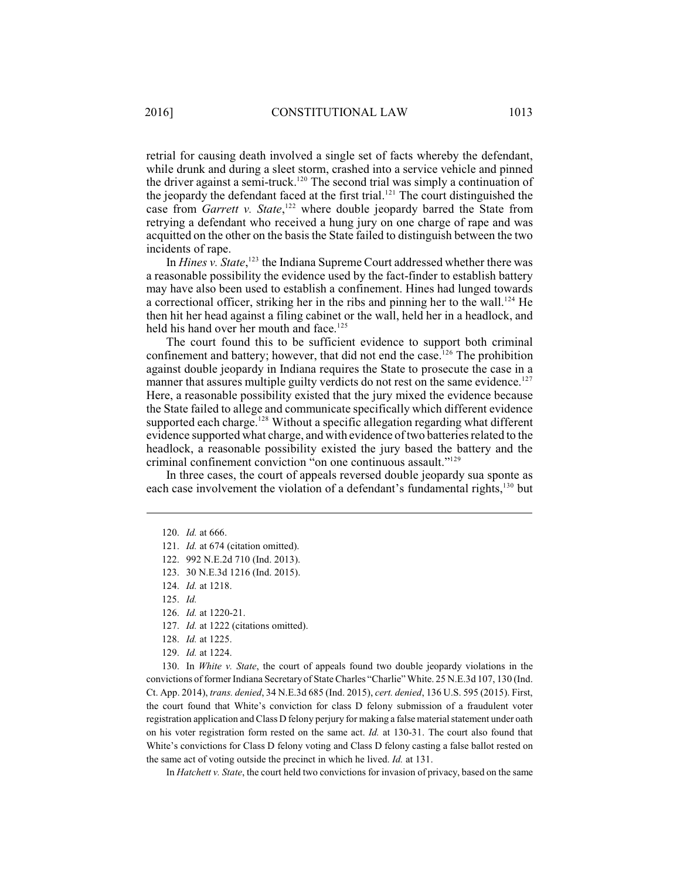retrial for causing death involved a single set of facts whereby the defendant, while drunk and during a sleet storm, crashed into a service vehicle and pinned the driver against a semi-truck.<sup>120</sup> The second trial was simply a continuation of the jeopardy the defendant faced at the first trial.<sup>121</sup> The court distinguished the case from *Garrett v. State*, <sup>122</sup> where double jeopardy barred the State from retrying a defendant who received a hung jury on one charge of rape and was acquitted on the other on the basis the State failed to distinguish between the two incidents of rape.

In *Hines v. State*,<sup>123</sup> the Indiana Supreme Court addressed whether there was a reasonable possibility the evidence used by the fact-finder to establish battery may have also been used to establish a confinement. Hines had lunged towards a correctional officer, striking her in the ribs and pinning her to the wall.<sup>124</sup> He then hit her head against a filing cabinet or the wall, held her in a headlock, and held his hand over her mouth and face.<sup>125</sup>

The court found this to be sufficient evidence to support both criminal confinement and battery; however, that did not end the case.<sup>126</sup> The prohibition against double jeopardy in Indiana requires the State to prosecute the case in a manner that assures multiple guilty verdicts do not rest on the same evidence.<sup>127</sup> Here, a reasonable possibility existed that the jury mixed the evidence because the State failed to allege and communicate specifically which different evidence supported each charge.<sup>128</sup> Without a specific allegation regarding what different evidence supported what charge, and with evidence of two batteries related to the headlock, a reasonable possibility existed the jury based the battery and the criminal confinement conviction "on one continuous assault."<sup>129</sup>

In three cases, the court of appeals reversed double jeopardy sua sponte as each case involvement the violation of a defendant's fundamental rights,  $130$  but

130. In *White v. State*, the court of appeals found two double jeopardy violations in the convictions of former Indiana Secretary of State Charles "Charlie" White. 25 N.E.3d 107, 130 (Ind. Ct. App. 2014), *trans. denied*, 34 N.E.3d 685 (Ind. 2015), *cert. denied*, 136 U.S. 595 (2015). First, the court found that White's conviction for class D felony submission of a fraudulent voter registration application and Class D felony perjury for making a false material statement under oath on his voter registration form rested on the same act. *Id.* at 130-31. The court also found that White's convictions for Class D felony voting and Class D felony casting a false ballot rested on the same act of voting outside the precinct in which he lived. *Id.* at 131.

In *Hatchett v. State*, the court held two convictions for invasion of privacy, based on the same

<sup>120.</sup> *Id.* at 666.

<sup>121.</sup> *Id.* at 674 (citation omitted).

<sup>122.</sup> 992 N.E.2d 710 (Ind. 2013).

<sup>123.</sup> 30 N.E.3d 1216 (Ind. 2015).

<sup>124.</sup> *Id.* at 1218.

<sup>125.</sup> *Id.*

<sup>126.</sup> *Id.* at 1220-21.

<sup>127.</sup> *Id.* at 1222 (citations omitted).

<sup>128.</sup> *Id.* at 1225.

<sup>129.</sup> *Id.* at 1224.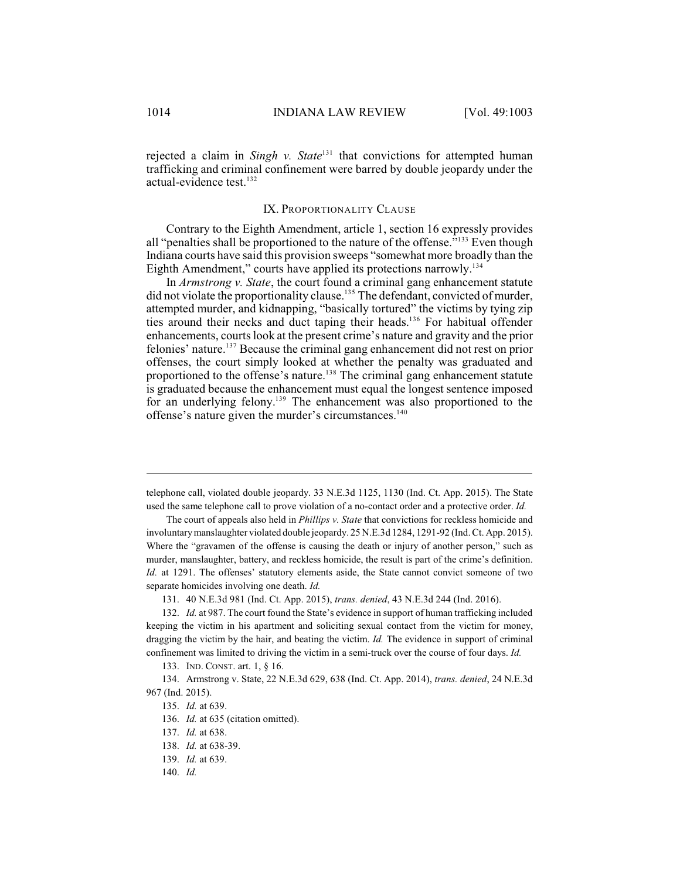rejected a claim in *Singh v. State*<sup>131</sup> that convictions for attempted human trafficking and criminal confinement were barred by double jeopardy under the actual-evidence test. 132

#### IX. PROPORTIONALITY CLAUSE

Contrary to the Eighth Amendment, article 1, section 16 expressly provides all "penalties shall be proportioned to the nature of the offense."<sup>133</sup> Even though Indiana courts have said this provision sweeps "somewhat more broadly than the Eighth Amendment," courts have applied its protections narrowly.<sup>134</sup>

In *Armstrong v. State*, the court found a criminal gang enhancement statute did not violate the proportionality clause.<sup>135</sup> The defendant, convicted of murder, attempted murder, and kidnapping, "basically tortured" the victims by tying zip ties around their necks and duct taping their heads.<sup>136</sup> For habitual offender enhancements, courts look at the present crime's nature and gravity and the prior felonies' nature.<sup>137</sup> Because the criminal gang enhancement did not rest on prior offenses, the court simply looked at whether the penalty was graduated and proportioned to the offense's nature.<sup>138</sup> The criminal gang enhancement statute is graduated because the enhancement must equal the longest sentence imposed for an underlying felony.<sup>139</sup> The enhancement was also proportioned to the offense's nature given the murder's circumstances. 140

telephone call, violated double jeopardy. 33 N.E.3d 1125, 1130 (Ind. Ct. App. 2015). The State used the same telephone call to prove violation of a no-contact order and a protective order. *Id.*

The court of appeals also held in *Phillips v. State* that convictions for reckless homicide and involuntarymanslaughter violated double jeopardy. 25 N.E.3d 1284, 1291-92 (Ind. Ct. App. 2015). Where the "gravamen of the offense is causing the death or injury of another person," such as murder, manslaughter, battery, and reckless homicide, the result is part of the crime's definition. *Id.* at 1291. The offenses' statutory elements aside, the State cannot convict someone of two separate homicides involving one death. *Id.*

<sup>131.</sup> 40 N.E.3d 981 (Ind. Ct. App. 2015), *trans. denied*, 43 N.E.3d 244 (Ind. 2016).

<sup>132.</sup> *Id.* at 987. The court found the State's evidence in support of human trafficking included keeping the victim in his apartment and soliciting sexual contact from the victim for money, dragging the victim by the hair, and beating the victim. *Id.* The evidence in support of criminal confinement was limited to driving the victim in a semi-truck over the course of four days. *Id.*

<sup>133.</sup> IND. CONST. art. 1, § 16.

<sup>134.</sup> Armstrong v. State, 22 N.E.3d 629, 638 (Ind. Ct. App. 2014), *trans. denied*, 24 N.E.3d 967 (Ind. 2015).

<sup>135.</sup> *Id.* at 639.

<sup>136.</sup> *Id.* at 635 (citation omitted).

<sup>137.</sup> *Id.* at 638.

<sup>138.</sup> *Id.* at 638-39.

<sup>139.</sup> *Id.* at 639.

<sup>140.</sup> *Id.*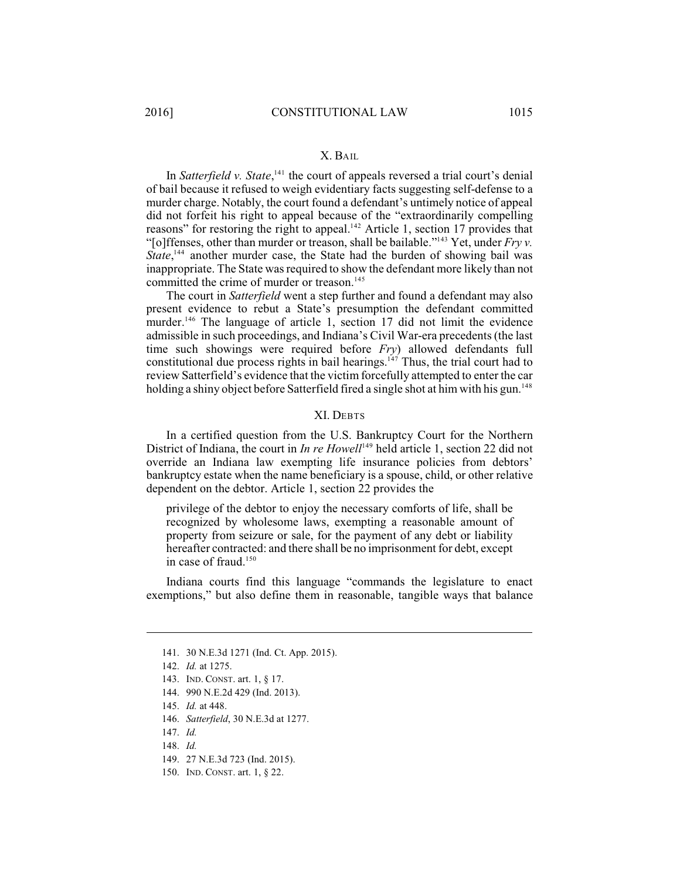## X. BAIL

In *Satterfield v. State*,<sup>141</sup> the court of appeals reversed a trial court's denial of bail because it refused to weigh evidentiary facts suggesting self-defense to a murder charge. Notably, the court found a defendant's untimely notice of appeal did not forfeit his right to appeal because of the "extraordinarily compelling reasons" for restoring the right to appeal. $^{142}$  Article 1, section 17 provides that "[o]ffenses, other than murder or treason, shall be bailable."<sup>143</sup> Yet, under  $Fryv$ . *State*,<sup>144</sup> another murder case, the State had the burden of showing bail was inappropriate. The State was required to show the defendant more likely than not committed the crime of murder or treason.<sup>145</sup>

The court in *Satterfield* went a step further and found a defendant may also present evidence to rebut a State's presumption the defendant committed murder.<sup>146</sup> The language of article 1, section 17 did not limit the evidence admissible in such proceedings, and Indiana's Civil War-era precedents (the last time such showings were required before *Fry*) allowed defendants full constitutional due process rights in bail hearings.  $\frac{147}{11}$  Thus, the trial court had to review Satterfield's evidence that the victim forcefully attempted to enter the car holding a shiny object before Satterfield fired a single shot at him with his gun.<sup>148</sup>

#### XI. DEBTS

In a certified question from the U.S. Bankruptcy Court for the Northern District of Indiana, the court in *In re Howell*<sup>149</sup> held article 1, section 22 did not override an Indiana law exempting life insurance policies from debtors' bankruptcy estate when the name beneficiary is a spouse, child, or other relative dependent on the debtor. Article 1, section 22 provides the

privilege of the debtor to enjoy the necessary comforts of life, shall be recognized by wholesome laws, exempting a reasonable amount of property from seizure or sale, for the payment of any debt or liability hereafter contracted: and there shall be no imprisonment for debt, except in case of fraud. 150

Indiana courts find this language "commands the legislature to enact exemptions," but also define them in reasonable, tangible ways that balance

<sup>141.</sup> 30 N.E.3d 1271 (Ind. Ct. App. 2015).

<sup>142.</sup> *Id.* at 1275.

<sup>143.</sup> IND. CONST. art. 1, § 17.

<sup>144.</sup> 990 N.E.2d 429 (Ind. 2013).

<sup>145.</sup> *Id.* at 448.

<sup>146.</sup> *Satterfield*, 30 N.E.3d at 1277.

<sup>147.</sup> *Id.*

<sup>148.</sup> *Id.*

<sup>149.</sup> 27 N.E.3d 723 (Ind. 2015).

<sup>150.</sup> IND. CONST. art. 1, § 22.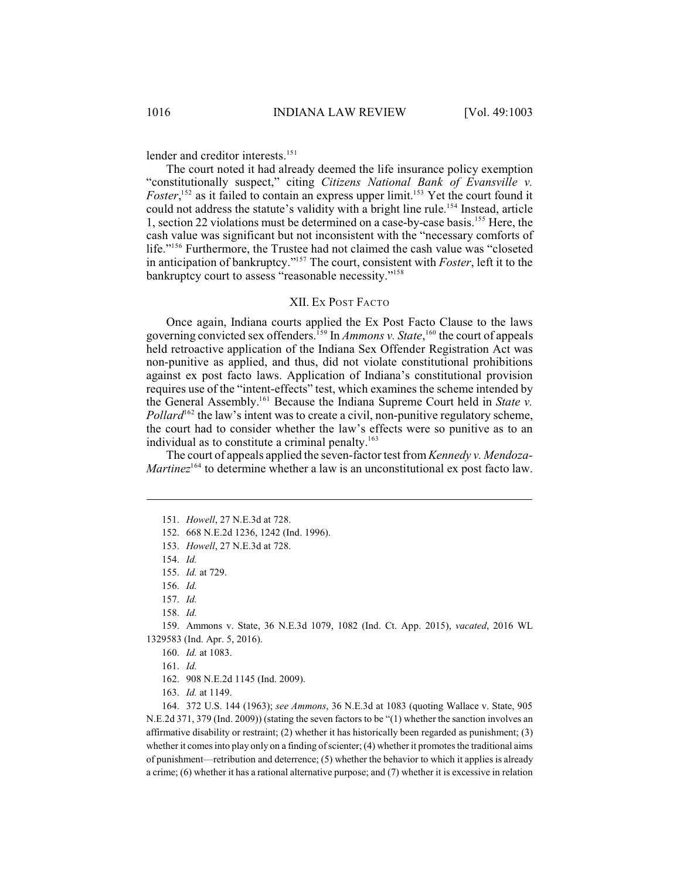lender and creditor interests.<sup>151</sup>

The court noted it had already deemed the life insurance policy exemption "constitutionally suspect," citing *Citizens National Bank of Evansville v. Foster*,<sup>152</sup> as it failed to contain an express upper limit.<sup>153</sup> Yet the court found it could not address the statute's validity with a bright line rule.<sup>154</sup> Instead, article 1, section 22 violations must be determined on a case-by-case basis.<sup>155</sup> Here, the cash value was significant but not inconsistent with the "necessary comforts of life."<sup>156</sup> Furthermore, the Trustee had not claimed the cash value was "closeted in anticipation of bankruptcy."<sup>157</sup> The court, consistent with *Foster*, left it to the bankruptcy court to assess "reasonable necessity."<sup>158</sup>

## XII. EX POST FACTO

Once again, Indiana courts applied the Ex Post Facto Clause to the laws governing convicted sex offenders.<sup>159</sup> In *Ammons v. State*,<sup>160</sup> the court of appeals held retroactive application of the Indiana Sex Offender Registration Act was non-punitive as applied, and thus, did not violate constitutional prohibitions against ex post facto laws. Application of Indiana's constitutional provision requires use of the "intent-effects" test, which examines the scheme intended by the General Assembly.<sup>161</sup> Because the Indiana Supreme Court held in *State v*.  $Pollard<sup>162</sup>$  the law's intent was to create a civil, non-punitive regulatory scheme, the court had to consider whether the law's effects were so punitive as to an individual as to constitute a criminal penalty.<sup>163</sup>

The court of appeals applied the seven-factor test from*Kennedy v. Mendoza-Martinez*<sup> $164$ </sup> to determine whether a law is an unconstitutional ex post facto law.

158. *Id.*

159. Ammons v. State, 36 N.E.3d 1079, 1082 (Ind. Ct. App. 2015), *vacated*, 2016 WL 1329583 (Ind. Apr. 5, 2016).

164. 372 U.S. 144 (1963); *see Ammons*, 36 N.E.3d at 1083 (quoting Wallace v. State, 905 N.E.2d 371, 379 (Ind. 2009)) (stating the seven factors to be "(1) whether the sanction involves an affirmative disability or restraint; (2) whether it has historically been regarded as punishment; (3) whether it comes into play only on a finding of scienter; (4) whether it promotes the traditional aims of punishment—retribution and deterrence; (5) whether the behavior to which it applies is already a crime; (6) whether it has a rational alternative purpose; and (7) whether it is excessive in relation

<sup>151.</sup> *Howell*, 27 N.E.3d at 728.

<sup>152.</sup> 668 N.E.2d 1236, 1242 (Ind. 1996).

<sup>153.</sup> *Howell*, 27 N.E.3d at 728.

<sup>154.</sup> *Id.*

<sup>155.</sup> *Id.* at 729.

<sup>156.</sup> *Id.*

<sup>157.</sup> *Id.*

<sup>160.</sup> *Id.* at 1083.

<sup>161.</sup> *Id.*

<sup>162.</sup> 908 N.E.2d 1145 (Ind. 2009).

<sup>163.</sup> *Id.* at 1149.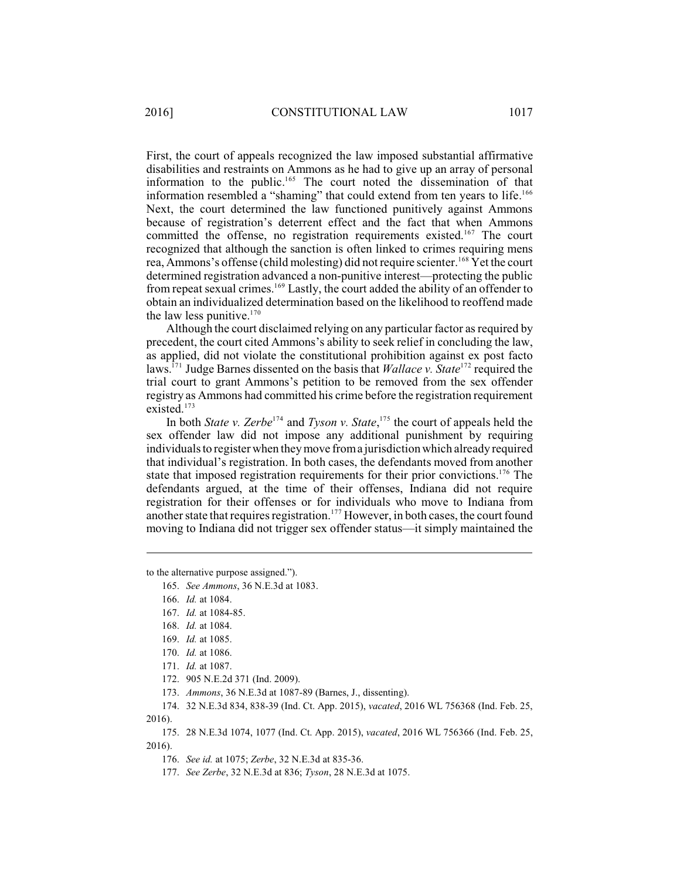First, the court of appeals recognized the law imposed substantial affirmative disabilities and restraints on Ammons as he had to give up an array of personal information to the public.<sup>165</sup> The court noted the dissemination of that information resembled a "shaming" that could extend from ten years to life.<sup>166</sup> Next, the court determined the law functioned punitively against Ammons because of registration's deterrent effect and the fact that when Ammons committed the offense, no registration requirements existed.<sup>167</sup> The court recognized that although the sanction is often linked to crimes requiring mens rea, Ammons's offense (child molesting) did not require scienter.<sup>168</sup> Yet the court determined registration advanced a non-punitive interest—protecting the public from repeat sexual crimes.  $^{169}$  Lastly, the court added the ability of an offender to obtain an individualized determination based on the likelihood to reoffend made the law less punitive.<sup>170</sup>

Although the court disclaimed relying on any particular factor as required by precedent, the court cited Ammons's ability to seek relief in concluding the law, as applied, did not violate the constitutional prohibition against ex post facto laws.<sup>171</sup> Judge Barnes dissented on the basis that *Wallace v. State*<sup>172</sup> required the trial court to grant Ammons's petition to be removed from the sex offender registry as Ammons had committed his crime before the registration requirement existed.<sup>173</sup>

In both *State v. Zerbe*<sup>174</sup> and *Tyson v. State*,<sup>175</sup> the court of appeals held the sex offender law did not impose any additional punishment by requiring individuals to register when they move froma jurisdiction which already required that individual's registration. In both cases, the defendants moved from another state that imposed registration requirements for their prior convictions.<sup>176</sup> The defendants argued, at the time of their offenses, Indiana did not require registration for their offenses or for individuals who move to Indiana from another state that requires registration.<sup>177</sup> However, in both cases, the court found moving to Indiana did not trigger sex offender status—it simply maintained the

to the alternative purpose assigned.").

165. *See Ammons*, 36 N.E.3d at 1083.

166. *Id.* at 1084.

- 167. *Id.* at 1084-85.
- 168. *Id.* at 1084.
- 169. *Id.* at 1085.
- 170. *Id.* at 1086.
- 171. *Id.* at 1087.
- 172. 905 N.E.2d 371 (Ind. 2009).

173. *Ammons*, 36 N.E.3d at 1087-89 (Barnes, J., dissenting).

174. 32 N.E.3d 834, 838-39 (Ind. Ct. App. 2015), *vacated*, 2016 WL 756368 (Ind. Feb. 25, 2016).

175. 28 N.E.3d 1074, 1077 (Ind. Ct. App. 2015), *vacated*, 2016 WL 756366 (Ind. Feb. 25, 2016).

176. *See id.* at 1075; *Zerbe*, 32 N.E.3d at 835-36.

177. *See Zerbe*, 32 N.E.3d at 836; *Tyson*, 28 N.E.3d at 1075.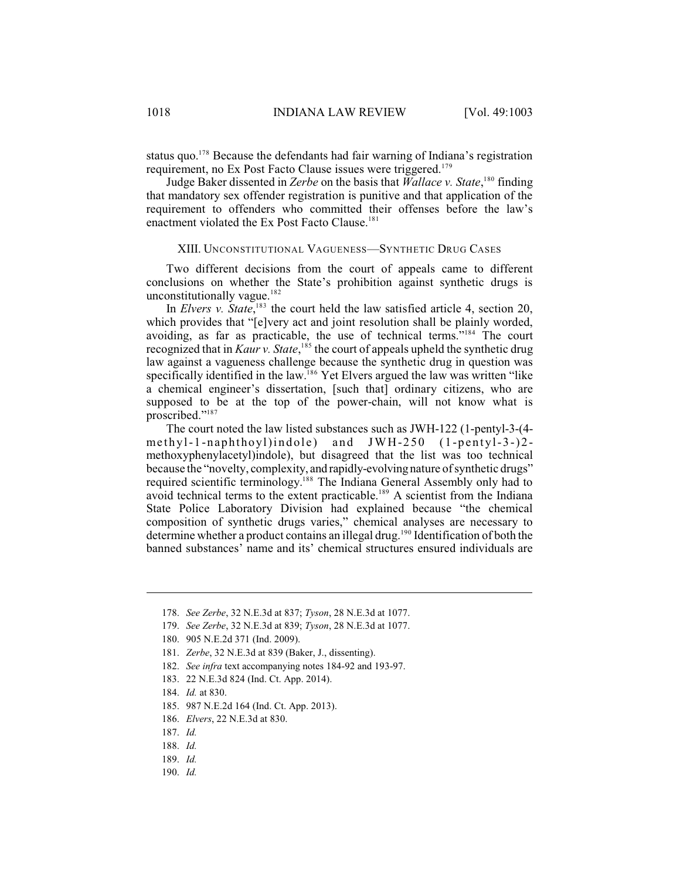status quo.<sup>178</sup> Because the defendants had fair warning of Indiana's registration requirement, no Ex Post Facto Clause issues were triggered.<sup>179</sup>

Judge Baker dissented in *Zerbe* on the basis that *Wallace v. State*,<sup>180</sup> finding that mandatory sex offender registration is punitive and that application of the requirement to offenders who committed their offenses before the law's enactment violated the Ex Post Facto Clause.<sup>181</sup>

#### XIII. UNCONSTITUTIONAL VAGUENESS—SYNTHETIC DRUG CASES

Two different decisions from the court of appeals came to different conclusions on whether the State's prohibition against synthetic drugs is unconstitutionally vague.<sup>182</sup>

In *Elvers v. State*,  $183$  the court held the law satisfied article 4, section 20, which provides that "[e]very act and joint resolution shall be plainly worded, avoiding, as far as practicable, the use of technical terms."<sup>184</sup> The court recognized that in *Kaur v. State*,<sup>185</sup> the court of appeals upheld the synthetic drug law against a vagueness challenge because the synthetic drug in question was specifically identified in the law.<sup>186</sup> Yet Elvers argued the law was written "like a chemical engineer's dissertation, [such that] ordinary citizens, who are supposed to be at the top of the power-chain, will not know what is proscribed."<sup>187</sup>

The court noted the law listed substances such as JWH-122 (1-pentyl-3-(4 methyl-1-naphthoyl)indole) and  $JWH-250$  (1-pentyl-3-)2methoxyphenylacetyl)indole), but disagreed that the list was too technical because the "novelty, complexity, and rapidly-evolvingnature of synthetic drugs" required scientific terminology.<sup>188</sup> The Indiana General Assembly only had to avoid technical terms to the extent practicable.<sup>189</sup> A scientist from the Indiana State Police Laboratory Division had explained because "the chemical composition of synthetic drugs varies," chemical analyses are necessary to determine whether a product contains an illegal drug.<sup>190</sup> Identification of both the banned substances' name and its' chemical structures ensured individuals are

<sup>178.</sup> *See Zerbe*, 32 N.E.3d at 837; *Tyson*, 28 N.E.3d at 1077.

<sup>179.</sup> *See Zerbe*, 32 N.E.3d at 839; *Tyson*, 28 N.E.3d at 1077.

<sup>180.</sup> 905 N.E.2d 371 (Ind. 2009).

<sup>181.</sup> *Zerbe*, 32 N.E.3d at 839 (Baker, J., dissenting).

<sup>182.</sup> *See infra* text accompanying notes 184-92 and 193-97.

<sup>183.</sup> 22 N.E.3d 824 (Ind. Ct. App. 2014).

<sup>184.</sup> *Id.* at 830.

<sup>185.</sup> 987 N.E.2d 164 (Ind. Ct. App. 2013).

<sup>186.</sup> *Elvers*, 22 N.E.3d at 830.

<sup>187.</sup> *Id.*

<sup>188.</sup> *Id.*

<sup>189.</sup> *Id.*

<sup>190.</sup> *Id.*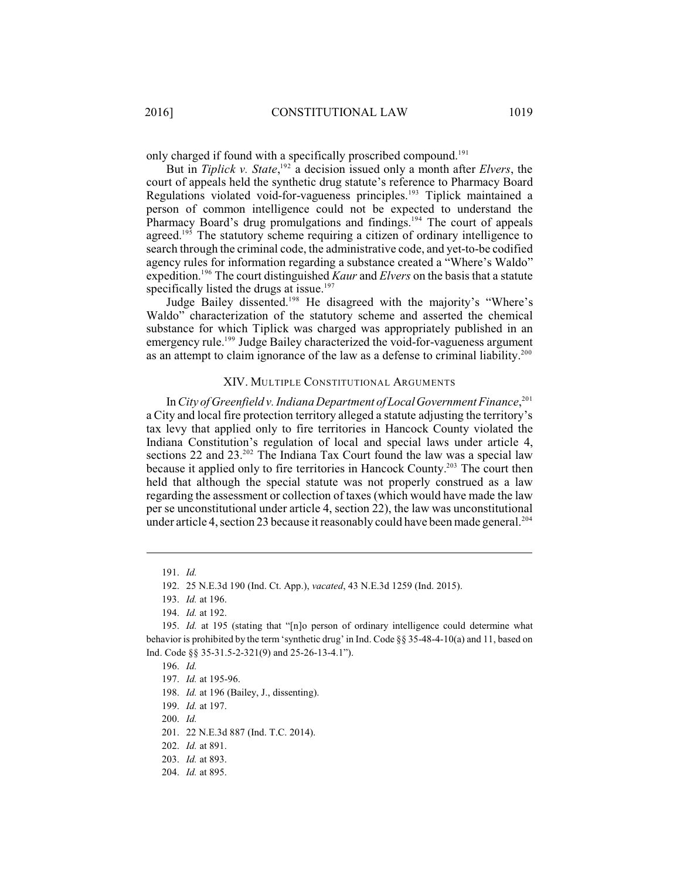only charged if found with a specifically proscribed compound.<sup>191</sup>

But in *Tiplick v. State*,  $192$  a decision issued only a month after *Elvers*, the court of appeals held the synthetic drug statute's reference to Pharmacy Board Regulations violated void-for-vagueness principles.<sup>193</sup> Tiplick maintained a person of common intelligence could not be expected to understand the Pharmacy Board's drug promulgations and findings.<sup>194</sup> The court of appeals agreed.<sup>195</sup> The statutory scheme requiring a citizen of ordinary intelligence to search through the criminal code, the administrative code, and yet-to-be codified agency rules for information regarding a substance created a "Where's Waldo" expedition.<sup>196</sup> The court distinguished *Kaur* and *Elvers* on the basis that a statute specifically listed the drugs at issue.<sup>197</sup>

Judge Bailey dissented.<sup>198</sup> He disagreed with the majority's "Where's Waldo" characterization of the statutory scheme and asserted the chemical substance for which Tiplick was charged was appropriately published in an emergency rule.<sup>199</sup> Judge Bailey characterized the void-for-vagueness argument as an attempt to claim ignorance of the law as a defense to criminal liability.<sup>200</sup>

## XIV. MULTIPLE CONSTITUTIONAL ARGUMENTS

In *City of Greenfield v. Indiana Department ofLocalGovernment Finance*, 201 a City and local fire protection territory alleged a statute adjusting the territory's tax levy that applied only to fire territories in Hancock County violated the Indiana Constitution's regulation of local and special laws under article 4, sections 22 and  $23.^{202}$  The Indiana Tax Court found the law was a special law because it applied only to fire territories in Hancock County.<sup>203</sup> The court then held that although the special statute was not properly construed as a law regarding the assessment or collection of taxes (which would have made the law per se unconstitutional under article 4, section 22), the law was unconstitutional under article 4, section 23 because it reasonably could have been made general.<sup>204</sup>

<sup>191.</sup> *Id.*

<sup>192.</sup> 25 N.E.3d 190 (Ind. Ct. App.), *vacated*, 43 N.E.3d 1259 (Ind. 2015).

<sup>193.</sup> *Id.* at 196.

<sup>194.</sup> *Id.* at 192.

<sup>195.</sup> *Id.* at 195 (stating that "[n]o person of ordinary intelligence could determine what behavior is prohibited by the term 'synthetic drug' in Ind. Code  $\S$ § 35-48-4-10(a) and 11, based on Ind. Code §§ 35-31.5-2-321(9) and 25-26-13-4.1").

<sup>196.</sup> *Id.*

<sup>197.</sup> *Id.* at 195-96.

<sup>198.</sup> *Id.* at 196 (Bailey, J., dissenting).

<sup>199.</sup> *Id.* at 197.

<sup>200.</sup> *Id.*

<sup>201.</sup> 22 N.E.3d 887 (Ind. T.C. 2014).

<sup>202.</sup> *Id.* at 891.

<sup>203.</sup> *Id.* at 893.

<sup>204.</sup> *Id.* at 895.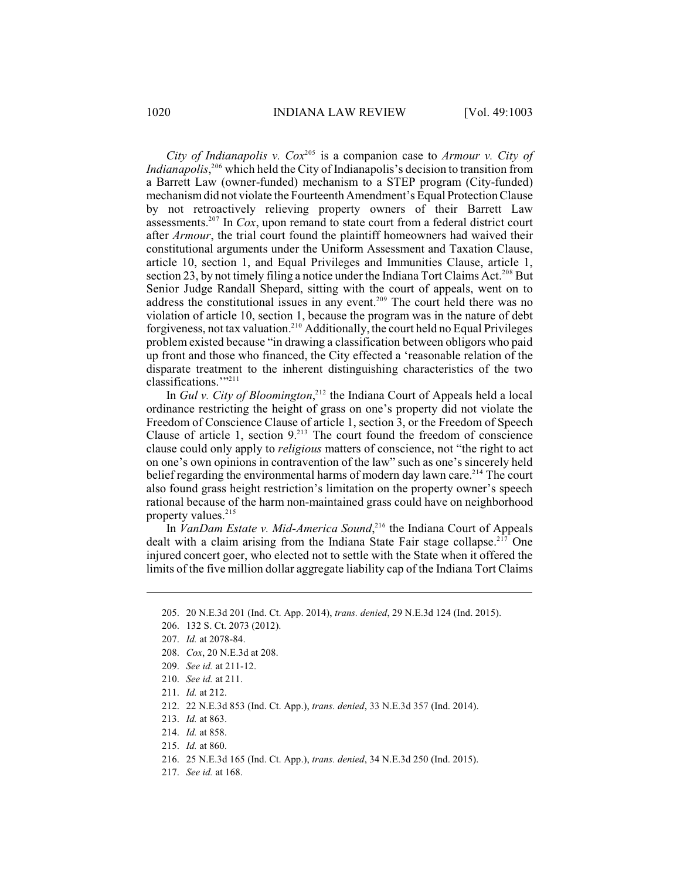*City of Indianapolis v.*  $Cox^{205}$  is a companion case to *Armour v. City of Indianapolis*, <sup>206</sup> which held the City of Indianapolis's decision to transition from a Barrett Law (owner-funded) mechanism to a STEP program (City-funded) mechanism did not violate the Fourteenth Amendment'sEqual ProtectionClause by not retroactively relieving property owners of their Barrett Law assessments.<sup>207</sup> In *Cox*, upon remand to state court from a federal district court after *Armour*, the trial court found the plaintiff homeowners had waived their constitutional arguments under the Uniform Assessment and Taxation Clause, article 10, section 1, and Equal Privileges and Immunities Clause, article 1, section 23, by not timely filing a notice under the Indiana Tort Claims Act.<sup>208</sup> But Senior Judge Randall Shepard, sitting with the court of appeals, went on to address the constitutional issues in any event.<sup> $209$ </sup> The court held there was no violation of article 10, section 1, because the program was in the nature of debt forgiveness, not tax valuation.<sup>210</sup> Additionally, the court held no Equal Privileges problem existed because "in drawing a classification between obligors who paid up front and those who financed, the City effected a 'reasonable relation of the disparate treatment to the inherent distinguishing characteristics of the two classifications.""<sup>211</sup>

In *Gul v. City of Bloomington*<sup>212</sup>, the Indiana Court of Appeals held a local ordinance restricting the height of grass on one's property did not violate the Freedom of Conscience Clause of article 1, section 3, or the Freedom of Speech Clause of article 1, section  $9<sup>213</sup>$  The court found the freedom of conscience clause could only apply to *religious* matters of conscience, not "the right to act on one's own opinions in contravention of the law" such as one's sincerely held belief regarding the environmental harms of modern day lawn care.<sup>214</sup> The court also found grass height restriction's limitation on the property owner's speech rational because of the harm non-maintained grass could have on neighborhood property values. 215

In *VanDam Estate v. Mid-America Sound*<sup>216</sup>, the Indiana Court of Appeals dealt with a claim arising from the Indiana State Fair stage collapse.<sup> $217$ </sup> One injured concert goer, who elected not to settle with the State when it offered the limits of the five million dollar aggregate liability cap of the Indiana Tort Claims

- 214. *Id.* at 858.
- 215. *Id.* at 860.
- 216. 25 N.E.3d 165 (Ind. Ct. App.), *trans. denied*, 34 N.E.3d 250 (Ind. 2015).
- 217. *See id.* at 168.

<sup>205.</sup> 20 N.E.3d 201 (Ind. Ct. App. 2014), *trans. denied*, 29 N.E.3d 124 (Ind. 2015).

<sup>206.</sup> 132 S. Ct. 2073 (2012).

<sup>207.</sup> *Id.* at 2078-84.

<sup>208.</sup> *Cox*, 20 N.E.3d at 208.

<sup>209.</sup> *See id.* at 211-12.

<sup>210.</sup> *See id.* at 211.

<sup>211.</sup> *Id.* at 212.

<sup>212.</sup> 22 N.E.3d 853 (Ind. Ct. App.), *trans. denied*, 33 N.E.3d 357 (Ind. 2014).

<sup>213.</sup> *Id.* at 863.